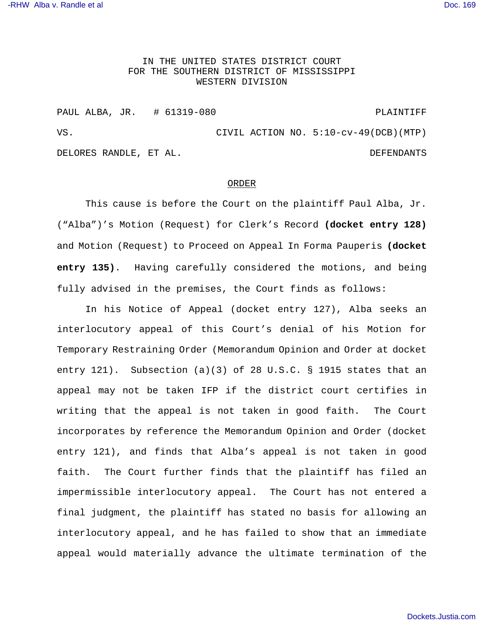## IN THE UNITED STATES DISTRICT COURT FOR THE SOUTHERN DISTRICT OF MISSISSIPPI WESTERN DIVISION

PAUL ALBA, JR. # 61319-080 PLAINTIFF VS. CIVIL ACTION NO. 5:10-cv-49(DCB)(MTP) DELORES RANDLE, ET AL. DEFENDANTS

## ORDER

This cause is before the Court on the plaintiff Paul Alba, Jr. ("Alba")'s Motion (Request) for Clerk's Record **(docket entry 128)** and Motion (Request) to Proceed on Appeal In Forma Pauperis **(docket entry 135)**. Having carefully considered the motions, and being fully advised in the premises, the Court finds as follows:

In his Notice of Appeal (docket entry 127), Alba seeks an interlocutory appeal of this Court's denial of his Motion for Temporary Restraining Order (Memorandum Opinion and Order at docket entry 121). Subsection (a)(3) of 28 U.S.C. § 1915 states that an appeal may not be taken IFP if the district court certifies in writing that the appeal is not taken in good faith. The Court incorporates by reference the Memorandum Opinion and Order (docket entry 121), and finds that Alba's appeal is not taken in good faith. The Court further finds that the plaintiff has filed an impermissible interlocutory appeal. The Court has not entered a final judgment, the plaintiff has stated no basis for allowing an interlocutory appeal, and he has failed to show that an immediate appeal would materially advance the ultimate termination of the